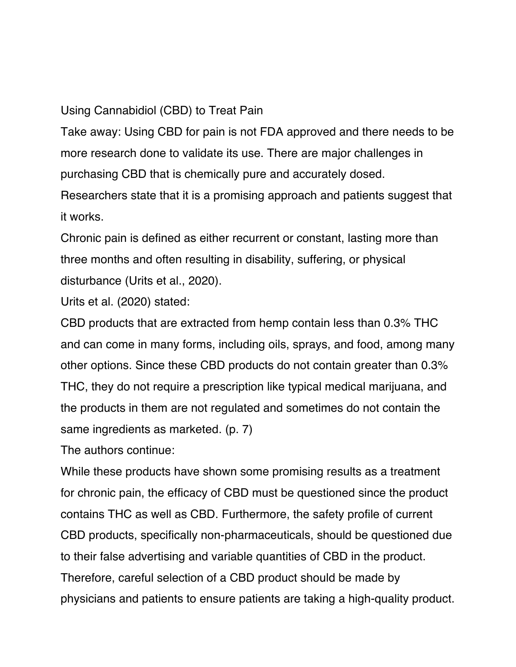## Using Cannabidiol (CBD) to Treat Pain

Take away: Using CBD for pain is not FDA approved and there needs to be more research done to validate its use. There are major challenges in purchasing CBD that is chemically pure and accurately dosed.

Researchers state that it is a promising approach and patients suggest that it works.

Chronic pain is defined as either recurrent or constant, lasting more than three months and often resulting in disability, suffering, or physical disturbance (Urits et al., 2020).

Urits et al. (2020) stated:

CBD products that are extracted from hemp contain less than 0.3% THC and can come in many forms, including oils, sprays, and food, among many other options. Since these CBD products do not contain greater than 0.3% THC, they do not require a prescription like typical medical marijuana, and the products in them are not regulated and sometimes do not contain the same ingredients as marketed. (p. 7)

The authors continue:

While these products have shown some promising results as a treatment for chronic pain, the efficacy of CBD must be questioned since the product contains THC as well as CBD. Furthermore, the safety profile of current CBD products, specifically non-pharmaceuticals, should be questioned due to their false advertising and variable quantities of CBD in the product. Therefore, careful selection of a CBD product should be made by physicians and patients to ensure patients are taking a high-quality product.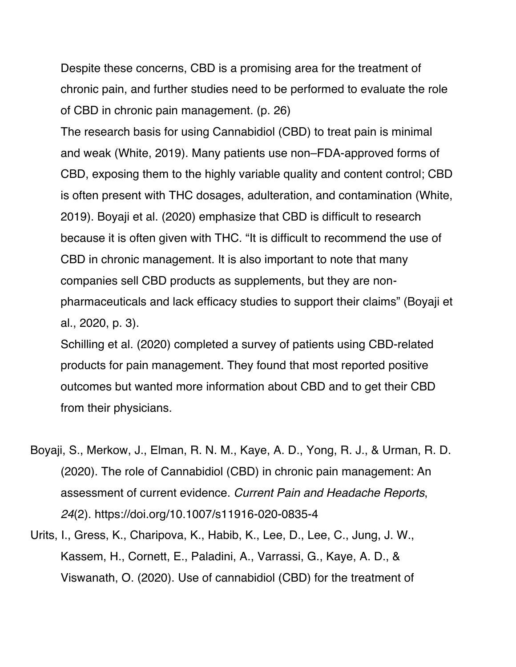Despite these concerns, CBD is a promising area for the treatment of chronic pain, and further studies need to be performed to evaluate the role of CBD in chronic pain management. (p. 26)

The research basis for using Cannabidiol (CBD) to treat pain is minimal and weak (White, 2019). Many patients use non–FDA-approved forms of CBD, exposing them to the highly variable quality and content control; CBD is often present with THC dosages, adulteration, and contamination (White, 2019). Boyaji et al. (2020) emphasize that CBD is difficult to research because it is often given with THC. "It is difficult to recommend the use of CBD in chronic management. It is also important to note that many companies sell CBD products as supplements, but they are nonpharmaceuticals and lack efficacy studies to support their claims" (Boyaji et al., 2020, p. 3).

Schilling et al. (2020) completed a survey of patients using CBD-related products for pain management. They found that most reported positive outcomes but wanted more information about CBD and to get their CBD from their physicians.

- Boyaji, S., Merkow, J., Elman, R. N. M., Kaye, A. D., Yong, R. J., & Urman, R. D. (2020). The role of Cannabidiol (CBD) in chronic pain management: An assessment of current evidence. *Current Pain and Headache Reports*, *24*(2). https://doi.org/10.1007/s11916-020-0835-4
- Urits, I., Gress, K., Charipova, K., Habib, K., Lee, D., Lee, C., Jung, J. W., Kassem, H., Cornett, E., Paladini, A., Varrassi, G., Kaye, A. D., & Viswanath, O. (2020). Use of cannabidiol (CBD) for the treatment of